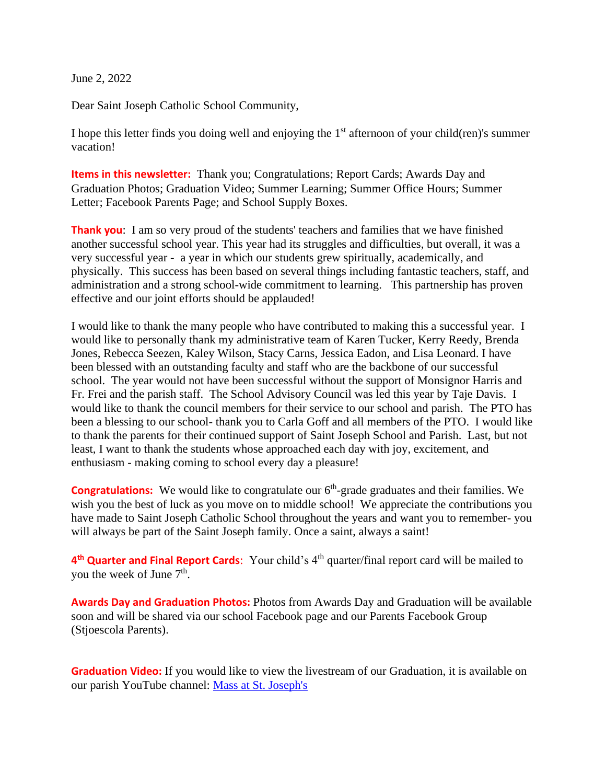June 2, 2022

Dear Saint Joseph Catholic School Community,

I hope this letter finds you doing well and enjoying the  $1<sup>st</sup>$  afternoon of your child(ren)'s summer vacation!

**Items in this newsletter:** Thank you; Congratulations; Report Cards; Awards Day and Graduation Photos; Graduation Video; Summer Learning; Summer Office Hours; Summer Letter; Facebook Parents Page; and School Supply Boxes.

**Thank you**: I am so very proud of the students' teachers and families that we have finished another successful school year. This year had its struggles and difficulties, but overall, it was a very successful year - a year in which our students grew spiritually, academically, and physically. This success has been based on several things including fantastic teachers, staff, and administration and a strong school-wide commitment to learning. This partnership has proven effective and our joint efforts should be applauded!

I would like to thank the many people who have contributed to making this a successful year. I would like to personally thank my administrative team of Karen Tucker, Kerry Reedy, Brenda Jones, Rebecca Seezen, Kaley Wilson, Stacy Carns, Jessica Eadon, and Lisa Leonard. I have been blessed with an outstanding faculty and staff who are the backbone of our successful school. The year would not have been successful without the support of Monsignor Harris and Fr. Frei and the parish staff. The School Advisory Council was led this year by Taje Davis. I would like to thank the council members for their service to our school and parish. The PTO has been a blessing to our school- thank you to Carla Goff and all members of the PTO. I would like to thank the parents for their continued support of Saint Joseph School and Parish. Last, but not least, I want to thank the students whose approached each day with joy, excitement, and enthusiasm - making coming to school every day a pleasure!

**Congratulations:** We would like to congratulate our 6<sup>th</sup>-grade graduates and their families. We wish you the best of luck as you move on to middle school! We appreciate the contributions you have made to Saint Joseph Catholic School throughout the years and want you to remember- you will always be part of the Saint Joseph family. Once a saint, always a saint!

4<sup>th</sup> Quarter and Final Report Cards: Your child's 4<sup>th</sup> quarter/final report card will be mailed to you the week of June 7<sup>th</sup>.

**Awards Day and Graduation Photos:** Photos from Awards Day and Graduation will be available soon and will be shared via our school Facebook page and our Parents Facebook Group (Stjoescola Parents).

**Graduation Video:** If you would like to view the livestream of our Graduation, it is available on our parish YouTube channel: [Mass at St. Joseph's](https://www.youtube.com/watch?v=bvts5vOCEmI)